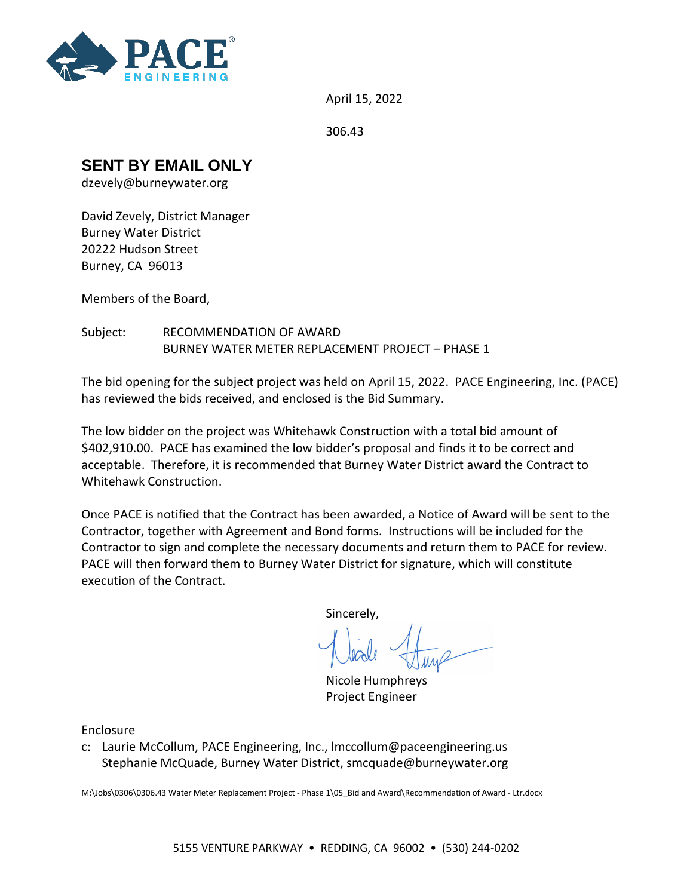

April 15, 2022

306.43

## **SENT BY EMAIL ONLY**

dzevely@burneywater.org

David Zevely, District Manager Burney Water District 20222 Hudson Street Burney, CA 96013

Members of the Board,

Subject: RECOMMENDATION OF AWARD BURNEY WATER METER REPLACEMENT PROJECT – PHASE 1

The bid opening for the subject project was held on April 15, 2022. PACE Engineering, Inc. (PACE) has reviewed the bids received, and enclosed is the Bid Summary.

The low bidder on the project was Whitehawk Construction with a total bid amount of \$402,910.00. PACE has examined the low bidder's proposal and finds it to be correct and acceptable. Therefore, it is recommended that Burney Water District award the Contract to Whitehawk Construction.

Once PACE is notified that the Contract has been awarded, a Notice of Award will be sent to the Contractor, together with Agreement and Bond forms. Instructions will be included for the Contractor to sign and complete the necessary documents and return them to PACE for review. PACE will then forward them to Burney Water District for signature, which will constitute execution of the Contract.

Sincerely,

Nicole Humphreys Project Engineer

Enclosure

c: Laurie McCollum, PACE Engineering, Inc., lmccollum@paceengineering.us Stephanie McQuade, Burney Water District, smcquade@burneywater.org

M:\Jobs\0306\0306.43 Water Meter Replacement Project - Phase 1\05\_Bid and Award\Recommendation of Award - Ltr.docx